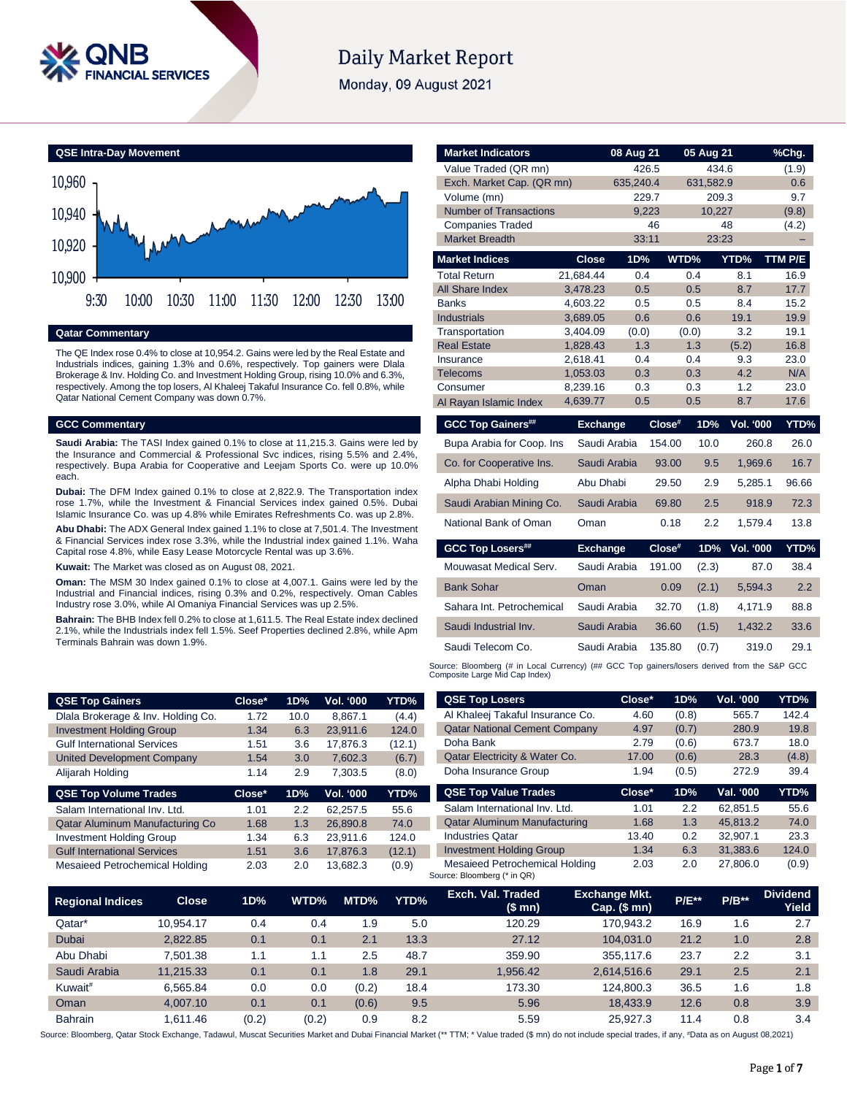

# **Daily Market Report**

Monday, 09 August 2021



#### **Qatar Commentary**

The QE Index rose 0.4% to close at 10,954.2. Gains were led by the Real Estate and Industrials indices, gaining 1.3% and 0.6%, respectively. Top gainers were Dlala Brokerage & Inv. Holding Co. and Investment Holding Group, rising 10.0% and 6.3%, respectively. Among the top losers, Al Khaleej Takaful Insurance Co. fell 0.8%, while Qatar National Cement Company was down 0.7%.

#### **GCC Commentary**

**QSE Top Gainers** Dlala Brokerage & Inv. **Investment Holding Group Gulf International Servi** United Development C Alijarah Holding **QSE Top Volume Trades** Salam International Inv. Qatar Aluminum Manuf **Investment Holding Gro Gulf International Services** Mesaieed Petrochemic

**Saudi Arabia:** The TASI Index gained 0.1% to close at 11,215.3. Gains were led by the Insurance and Commercial & Professional Svc indices, rising 5.5% and 2.4%, respectively. Bupa Arabia for Cooperative and Leejam Sports Co. were up 10.0% each.

**Dubai:** The DFM Index gained 0.1% to close at 2,822.9. The Transportation index rose 1.7%, while the Investment & Financial Services index gained 0.5%. Dubai Islamic Insurance Co. was up 4.8% while Emirates Refreshments Co. was up 2.8%.

**Abu Dhabi:** The ADX General Index gained 1.1% to close at 7,501.4. The Investment & Financial Services index rose 3.3%, while the Industrial index gained 1.1%. Waha Capital rose 4.8%, while Easy Lease Motorcycle Rental was up 3.6%.

**Kuwait:** The Market was closed as on August 08, 2021.

**Oman:** The MSM 30 Index gained 0.1% to close at 4,007.1. Gains were led by the Industrial and Financial indices, rising 0.3% and 0.2%, respectively. Oman Cables Industry rose 3.0%, while Al Omaniya Financial Services was up 2.5%.

**Bahrain:** The BHB Index fell 0.2% to close at 1,611.5. The Real Estate index declined 2.1%, while the Industrials index fell 1.5%. Seef Properties declined 2.8%, while Apm Terminals Bahrain was down 1.9%.

| <b>Market Indicators</b>      |                      | 08 Aug 21    |        | 05 Aug 21  |            | %Chg.       |
|-------------------------------|----------------------|--------------|--------|------------|------------|-------------|
| Value Traded (QR mn)          |                      | 426.5        |        | 434.6      |            | (1.9)       |
| Exch. Market Cap. (QR mn)     |                      | 635,240.4    |        | 631,582.9  |            | 0.6         |
| Volume (mn)                   |                      | 229.7        |        | 209.3      |            | 9.7         |
| <b>Number of Transactions</b> |                      | 9,223        |        | 10,227     |            | (9.8)       |
| <b>Companies Traded</b>       |                      |              | 46     |            | 48         | (4.2)       |
| <b>Market Breadth</b>         |                      | 33:11        |        | 23:23      |            |             |
| <b>Market Indices</b>         | <b>Close</b>         | 1D%          |        | WTD%       | YTD%       | TTM P/E     |
| <b>Total Return</b>           | 21,684.44            | 0.4          |        | 0.4        | 8.1        | 16.9        |
| All Share Index               | 3,478.23             | 0.5          |        | 0.5        | 8.7        | 17.7        |
| <b>Banks</b>                  | 4,603.22             | 0.5          |        | 0.5        | 8.4        | 15.2        |
| <b>Industrials</b>            | 3,689.05             | 0.6          |        | 0.6        | 19.1       | 19.9        |
| Transportation                | 3,404.09             | (0.0)        |        | (0.0)      | 3.2        | 19.1        |
| <b>Real Estate</b>            | 1,828.43             | 1.3          |        | 1.3        | (5.2)      | 16.8        |
| Insurance                     | 2,618.41             | 0.4          |        | 0.4        | 9.3<br>4.2 | 23.0        |
| Telecoms<br>Consumer          | 1,053.03<br>8,239.16 | 0.3<br>0.3   |        | 0.3<br>0.3 | 1.2        | N/A<br>23.0 |
| Al Rayan Islamic Index        | 4,639.77             | 0.5          |        | 0.5        | 8.7        | 17.6        |
|                               |                      |              |        |            |            |             |
| <b>GCC Top Gainers##</b>      | <b>Exchange</b>      |              | Close# | 1D%        | Vol. '000  | YTD%        |
| Bupa Arabia for Coop. Ins     |                      | Saudi Arabia | 154.00 | 10.0       | 260.8      | 26.0        |
| Co. for Cooperative Ins.      |                      | Saudi Arabia | 93.00  | 9.5        | 1,969.6    | 16.7        |
| Alpha Dhabi Holding           | Abu Dhabi            |              | 29.50  | 2.9        | 5,285.1    | 96.66       |
| Saudi Arabian Mining Co.      |                      | Saudi Arabia | 69.80  | 2.5        | 918.9      | 72.3        |
| National Bank of Oman         | Oman                 |              | 0.18   | 2.2        | 1,579.4    | 13.8        |
| <b>GCC Top Losers##</b>       | <b>Exchange</b>      |              | Close# | 1D%        | Vol. '000  | YTD%        |
| Mouwasat Medical Serv.        |                      | Saudi Arabia | 191.00 | (2.3)      | 87.0       | 38.4        |
| <b>Bank Sohar</b>             | Oman                 |              | 0.09   | (2.1)      | 5,594.3    | 2.2         |
| Sahara Int. Petrochemical     |                      | Saudi Arabia | 32.70  | (1.8)      | 4,171.9    | 88.8        |
| Saudi Industrial Inv.         |                      | Saudi Arabia | 36.60  | (1.5)      | 1,432.2    | 33.6        |
| Saudi Telecom Co.             |                      | Saudi Arabia | 135.80 | (0.7)      | 319.0      | 29.1        |

Source: Bloomberg (# in Local Currency) (## GCC Top gainers/losers derived from the S&P GCC<br>Composite Large Mid Cap Index)

|              | Close* | 1D%              | Vol. '000 | YTD%   | <b>QSE Top Losers</b>                | Close* | 1D%   | Vol. '000 | YTD%  |
|--------------|--------|------------------|-----------|--------|--------------------------------------|--------|-------|-----------|-------|
| Holding Co.  | 1.72   | 10.0             | 8.867.1   | (4.4)  | Al Khaleej Takaful Insurance Co.     | 4.60   | (0.8) | 565.7     | 142.4 |
| quc          | 1.34   | 6.3              | 23,911.6  | 124.0  | <b>Qatar National Cement Company</b> | 4.97   | (0.7) | 280.9     | 19.8  |
| ces          | 1.51   | 3.6              | 17.876.3  | (12.1) | Doha Bank                            | 2.79   | (0.6) | 673.7     | 18.0  |
| ompany       | 1.54   | 3.0              | 7,602.3   | (6.7)  | Qatar Electricity & Water Co.        | 17.00  | (0.6) | 28.3      | (4.8) |
|              | 1.14   | 2.9              | 7.303.5   | (8.0)  | Doha Insurance Group                 | 1.94   | (0.5) | 272.9     | 39.4  |
| des          | Close* | 1D%              | Vol. '000 | YTD%   | <b>QSE Top Value Trades</b>          | Close* | 1D%   | Val. '000 | YTD%  |
| . Ltd.       | 1.01   | $2.2\phantom{0}$ | 62.257.5  | 55.6   | Salam International Inv. Ltd.        | 1.01   | 2.2   | 62.851.5  | 55.6  |
| facturing Co | 1.68   | 1.3              | 26,890.8  | 74.0   | <b>Qatar Aluminum Manufacturing</b>  | 1.68   | 1.3   | 45.813.2  | 74.0  |
| quc          | 1.34   | 6.3              | 23.911.6  | 124.0  | <b>Industries Qatar</b>              | 13.40  | 0.2   | 32.907.1  | 23.3  |
| <b>ces</b>   | 1.51   | 3.6              | 17,876.3  |        | <b>Investment Holding Group</b>      | 1.34   | 6.3   | 31.383.6  | 124.0 |
|              |        |                  |           | (12.1) |                                      |        |       |           |       |

| Regional Indices ˈ  | <b>Close</b> | 1D%   | WTD%  | MTD%  | YTD% | Exch. Val. Traded<br>(\$ mn) | <b>Exchange Mkt.</b><br>Cap. $($mn)$ | <b>P/E**</b> | $P/B***$ | <b>Dividend</b><br>Yield |
|---------------------|--------------|-------|-------|-------|------|------------------------------|--------------------------------------|--------------|----------|--------------------------|
| Qatar*              | 10.954.17    | 0.4   | 0.4   | . .9  | 5.0  | 120.29                       | 170.943.2                            | 16.9         | 1.6      | 2.7                      |
| <b>Dubai</b>        | 2,822.85     | 0.1   | 0.1   | 2.1   | 13.3 | 27.12                        | 104,031.0                            | 21.2         | 1.0      | 2.8                      |
| Abu Dhabi           | 7.501.38     | 1.1   | 1.1   | 2.5   | 48.7 | 359.90                       | 355.117.6                            | 23.7         | 2.2      | 3.1                      |
| Saudi Arabia        | 11.215.33    | 0.1   | 0.1   | 1.8   | 29.1 | 1.956.42                     | 2.614.516.6                          | 29.1         | 2.5      | 2.1                      |
| Kuwait <sup>#</sup> | 6.565.84     | 0.0   | 0.0   | (0.2) | 18.4 | 173.30                       | 124.800.3                            | 36.5         | 1.6      | 1.8                      |
| Oman                | 4.007.10     | 0.1   | 0.1   | (0.6) | 9.5  | 5.96                         | 18.433.9                             | 12.6         | 0.8      | 3.9                      |
| <b>Bahrain</b>      | 1.611.46     | (0.2) | (0.2) | 0.9   | 8.2  | 5.59                         | 25.927.3                             | 11.4         | 0.8      | 3.4                      |

Source: Bloomberg, Qatar Stock Exchange, Tadawul, Muscat Securities Market and Dubai Financial Market (\*\* TTM; \* Value traded (\$ mn) do not include special trades, if any, #Data as on August 08,2021)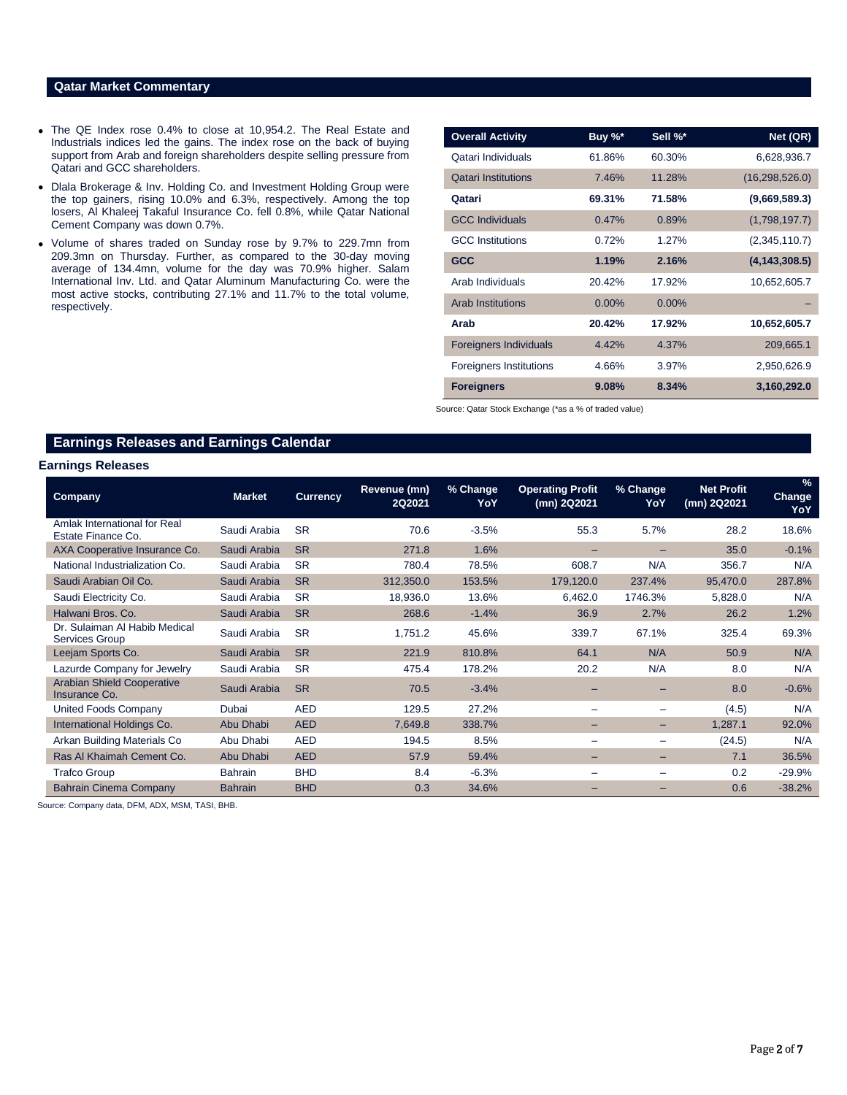# **Qatar Market Commentary**

- The QE Index rose 0.4% to close at 10,954.2. The Real Estate and Industrials indices led the gains. The index rose on the back of buying support from Arab and foreign shareholders despite selling pressure from Qatari and GCC shareholders.
- Dlala Brokerage & Inv. Holding Co. and Investment Holding Group were the top gainers, rising 10.0% and 6.3%, respectively. Among the top losers, Al Khaleej Takaful Insurance Co. fell 0.8%, while Qatar National Cement Company was down 0.7%.
- Volume of shares traded on Sunday rose by 9.7% to 229.7mn from 209.3mn on Thursday. Further, as compared to the 30-day moving average of 134.4mn, volume for the day was 70.9% higher. Salam International Inv. Ltd. and Qatar Aluminum Manufacturing Co. were the most active stocks, contributing 27.1% and 11.7% to the total volume, respectively.

| <b>Overall Activity</b>        | Buy %*   | Sell %*  | Net (QR)         |
|--------------------------------|----------|----------|------------------|
| Qatari Individuals             | 61.86%   | 60.30%   | 6,628,936.7      |
| <b>Qatari Institutions</b>     | 7.46%    | 11.28%   | (16, 298, 526.0) |
| Qatari                         | 69.31%   | 71.58%   | (9,669,589.3)    |
| <b>GCC Individuals</b>         | 0.47%    | 0.89%    | (1,798,197.7)    |
| <b>GCC</b> Institutions        | 0.72%    | 1.27%    | (2,345,110.7)    |
| <b>GCC</b>                     | 1.19%    | 2.16%    | (4, 143, 308.5)  |
| Arab Individuals               | 20.42%   | 17.92%   | 10,652,605.7     |
| <b>Arab Institutions</b>       | $0.00\%$ | $0.00\%$ |                  |
| Arab                           | 20.42%   | 17.92%   | 10,652,605.7     |
| <b>Foreigners Individuals</b>  | 4.42%    | 4.37%    | 209,665.1        |
| <b>Foreigners Institutions</b> | 4.66%    | 3.97%    | 2,950,626.9      |
| <b>Foreigners</b>              | 9.08%    | 8.34%    | 3,160,292.0      |

Source: Qatar Stock Exchange (\*as a % of traded value)

# **Earnings Releases and Earnings Calendar**

#### **Earnings Releases**

| <b>Company</b>                                         | <b>Market</b>  | <b>Currency</b> | Revenue (mn)<br>2Q2021 | % Change<br>YoY | <b>Operating Profit</b><br>(mn) 2Q2021 | % Change<br>YoY          | <b>Net Profit</b><br>(mn) 2Q2021 | $\%$<br><b>Change</b><br>YoY |
|--------------------------------------------------------|----------------|-----------------|------------------------|-----------------|----------------------------------------|--------------------------|----------------------------------|------------------------------|
| Amlak International for Real<br>Estate Finance Co.     | Saudi Arabia   | <b>SR</b>       | 70.6                   | $-3.5%$         | 55.3                                   | 5.7%                     | 28.2                             | 18.6%                        |
| AXA Cooperative Insurance Co.                          | Saudi Arabia   | <b>SR</b>       | 271.8                  | 1.6%            |                                        |                          | 35.0                             | $-0.1%$                      |
| National Industrialization Co.                         | Saudi Arabia   | <b>SR</b>       | 780.4                  | 78.5%           | 608.7                                  | N/A                      | 356.7                            | N/A                          |
| Saudi Arabian Oil Co.                                  | Saudi Arabia   | <b>SR</b>       | 312,350.0              | 153.5%          | 179,120.0                              | 237.4%                   | 95,470.0                         | 287.8%                       |
| Saudi Electricity Co.                                  | Saudi Arabia   | <b>SR</b>       | 18,936.0               | 13.6%           | 6,462.0                                | 1746.3%                  | 5,828.0                          | N/A                          |
| Halwani Bros. Co.                                      | Saudi Arabia   | <b>SR</b>       | 268.6                  | $-1.4%$         | 36.9                                   | 2.7%                     | 26.2                             | 1.2%                         |
| Dr. Sulaiman Al Habib Medical<br><b>Services Group</b> | Saudi Arabia   | <b>SR</b>       | 1,751.2                | 45.6%           | 339.7                                  | 67.1%                    | 325.4                            | 69.3%                        |
| Leejam Sports Co.                                      | Saudi Arabia   | <b>SR</b>       | 221.9                  | 810.8%          | 64.1                                   | N/A                      | 50.9                             | N/A                          |
| Lazurde Company for Jewelry                            | Saudi Arabia   | <b>SR</b>       | 475.4                  | 178.2%          | 20.2                                   | N/A                      | 8.0                              | N/A                          |
| <b>Arabian Shield Cooperative</b><br>Insurance Co.     | Saudi Arabia   | <b>SR</b>       | 70.5                   | $-3.4%$         |                                        |                          | 8.0                              | $-0.6%$                      |
| United Foods Company                                   | Dubai          | <b>AED</b>      | 129.5                  | 27.2%           | $\overline{\phantom{0}}$               | -                        | (4.5)                            | N/A                          |
| International Holdings Co.                             | Abu Dhabi      | <b>AED</b>      | 7,649.8                | 338.7%          | $\overline{\phantom{0}}$               | $\overline{\phantom{0}}$ | 1,287.1                          | 92.0%                        |
| Arkan Building Materials Co                            | Abu Dhabi      | <b>AED</b>      | 194.5                  | 8.5%            | $\overline{\phantom{0}}$               |                          | (24.5)                           | N/A                          |
| Ras Al Khaimah Cement Co.                              | Abu Dhabi      | <b>AED</b>      | 57.9                   | 59.4%           | $-$                                    | -                        | 7.1                              | 36.5%                        |
| <b>Trafco Group</b>                                    | <b>Bahrain</b> | <b>BHD</b>      | 8.4                    | $-6.3%$         | -                                      | $\overline{\phantom{m}}$ | 0.2                              | $-29.9%$                     |
| <b>Bahrain Cinema Company</b>                          | <b>Bahrain</b> | <b>BHD</b>      | 0.3                    | 34.6%           |                                        |                          | 0.6                              | $-38.2%$                     |

Source: Company data, DFM, ADX, MSM, TASI, BHB.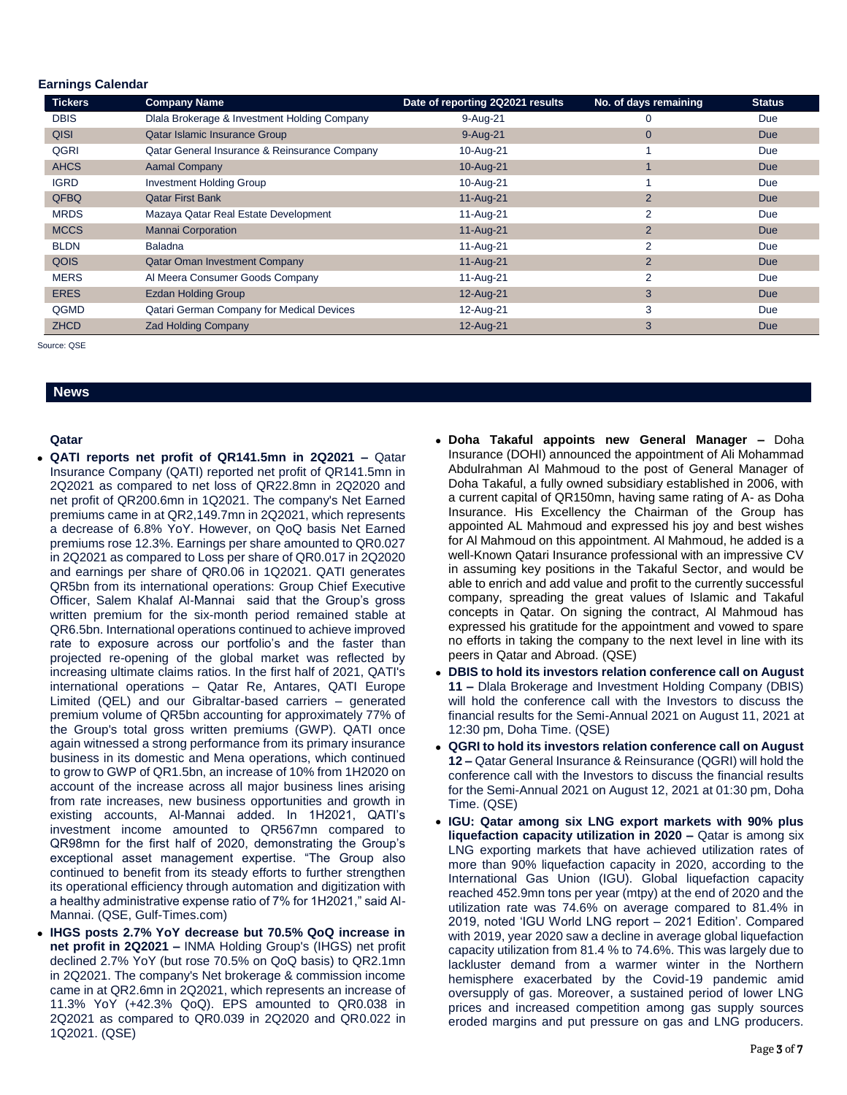#### **Earnings Calendar**

| <b>Tickers</b> | <b>Company Name</b>                           | Date of reporting 2Q2021 results | No. of days remaining | <b>Status</b> |
|----------------|-----------------------------------------------|----------------------------------|-----------------------|---------------|
| <b>DBIS</b>    | Dlala Brokerage & Investment Holding Company  | 9-Aug-21                         | 0                     | Due           |
| <b>QISI</b>    | Qatar Islamic Insurance Group                 | $9-Auq-21$                       | $\mathbf{0}$          | <b>Due</b>    |
| QGRI           | Qatar General Insurance & Reinsurance Company | 10-Aug-21                        |                       | Due           |
| <b>AHCS</b>    | <b>Aamal Company</b>                          | 10-Aug-21                        |                       | <b>Due</b>    |
| <b>IGRD</b>    | <b>Investment Holding Group</b>               | 10-Aug-21                        |                       | Due           |
| QFBQ           | <b>Qatar First Bank</b>                       | 11-Aug-21                        | $\overline{2}$        | <b>Due</b>    |
| <b>MRDS</b>    | Mazaya Qatar Real Estate Development          | 11-Aug-21                        | 2                     | Due           |
| <b>MCCS</b>    | <b>Mannai Corporation</b>                     | 11-Aug-21                        | $\overline{2}$        | <b>Due</b>    |
| <b>BLDN</b>    | <b>Baladna</b>                                | 11-Aug-21                        | 2                     | Due           |
| QOIS           | <b>Qatar Oman Investment Company</b>          | 11-Aug-21                        | $\overline{2}$        | <b>Due</b>    |
| <b>MERS</b>    | Al Meera Consumer Goods Company               | 11-Aug-21                        |                       | Due           |
| <b>ERES</b>    | <b>Ezdan Holding Group</b>                    | 12-Aug-21                        | 3                     | <b>Due</b>    |
| QGMD           | Qatari German Company for Medical Devices     | 12-Aug-21                        | 3                     | Due           |
| <b>ZHCD</b>    | <b>Zad Holding Company</b>                    | 12-Aug-21                        | 3                     | <b>Due</b>    |

Source: QSE

## **News**

### **Qatar**

- **QATI reports net profit of QR141.5mn in 2Q2021 –** Qatar Insurance Company (QATI) reported net profit of QR141.5mn in 2Q2021 as compared to net loss of QR22.8mn in 2Q2020 and net profit of QR200.6mn in 1Q2021. The company's Net Earned premiums came in at QR2,149.7mn in 2Q2021, which represents a decrease of 6.8% YoY. However, on QoQ basis Net Earned premiums rose 12.3%. Earnings per share amounted to QR0.027 in 2Q2021 as compared to Loss per share of QR0.017 in 2Q2020 and earnings per share of QR0.06 in 1Q2021. QATI generates QR5bn from its international operations: Group Chief Executive Officer, Salem Khalaf Al-Mannai said that the Group's gross written premium for the six-month period remained stable at QR6.5bn. International operations continued to achieve improved rate to exposure across our portfolio's and the faster than projected re-opening of the global market was reflected by increasing ultimate claims ratios. In the first half of 2021, QATI's international operations – Qatar Re, Antares, QATI Europe Limited (QEL) and our Gibraltar-based carriers – generated premium volume of QR5bn accounting for approximately 77% of the Group's total gross written premiums (GWP). QATI once again witnessed a strong performance from its primary insurance business in its domestic and Mena operations, which continued to grow to GWP of QR1.5bn, an increase of 10% from 1H2020 on account of the increase across all major business lines arising from rate increases, new business opportunities and growth in existing accounts, Al-Mannai added. In 1H2021, QATI's investment income amounted to QR567mn compared to QR98mn for the first half of 2020, demonstrating the Group's exceptional asset management expertise. "The Group also continued to benefit from its steady efforts to further strengthen its operational efficiency through automation and digitization with a healthy administrative expense ratio of 7% for 1H2021," said Al-Mannai. (QSE, Gulf-Times.com)
- **IHGS posts 2.7% YoY decrease but 70.5% QoQ increase in net profit in 2Q2021 –** INMA Holding Group's (IHGS) net profit declined 2.7% YoY (but rose 70.5% on QoQ basis) to QR2.1mn in 2Q2021. The company's Net brokerage & commission income came in at QR2.6mn in 2Q2021, which represents an increase of 11.3% YoY (+42.3% QoQ). EPS amounted to QR0.038 in 2Q2021 as compared to QR0.039 in 2Q2020 and QR0.022 in 1Q2021. (QSE)
- **Doha Takaful appoints new General Manager –** Doha Insurance (DOHI) announced the appointment of Ali Mohammad Abdulrahman Al Mahmoud to the post of General Manager of Doha Takaful, a fully owned subsidiary established in 2006, with a current capital of QR150mn, having same rating of A- as Doha Insurance. His Excellency the Chairman of the Group has appointed AL Mahmoud and expressed his joy and best wishes for Al Mahmoud on this appointment. Al Mahmoud, he added is a well-Known Qatari Insurance professional with an impressive CV in assuming key positions in the Takaful Sector, and would be able to enrich and add value and profit to the currently successful company, spreading the great values of Islamic and Takaful concepts in Qatar. On signing the contract, Al Mahmoud has expressed his gratitude for the appointment and vowed to spare no efforts in taking the company to the next level in line with its peers in Qatar and Abroad. (QSE)
- **DBIS to hold its investors relation conference call on August 11 –** Dlala Brokerage and Investment Holding Company (DBIS) will hold the conference call with the Investors to discuss the financial results for the Semi-Annual 2021 on August 11, 2021 at 12:30 pm, Doha Time. (QSE)
- **QGRI to hold its investors relation conference call on August 12 –** Qatar General Insurance & Reinsurance (QGRI) will hold the conference call with the Investors to discuss the financial results for the Semi-Annual 2021 on August 12, 2021 at 01:30 pm, Doha Time. (QSE)
- **IGU: Qatar among six LNG export markets with 90% plus liquefaction capacity utilization in 2020 –** Qatar is among six LNG exporting markets that have achieved utilization rates of more than 90% liquefaction capacity in 2020, according to the International Gas Union (IGU). Global liquefaction capacity reached 452.9mn tons per year (mtpy) at the end of 2020 and the utilization rate was 74.6% on average compared to 81.4% in 2019, noted 'IGU World LNG report – 2021 Edition'. Compared with 2019, year 2020 saw a decline in average global liquefaction capacity utilization from 81.4 % to 74.6%. This was largely due to lackluster demand from a warmer winter in the Northern hemisphere exacerbated by the Covid-19 pandemic amid oversupply of gas. Moreover, a sustained period of lower LNG prices and increased competition among gas supply sources eroded margins and put pressure on gas and LNG producers.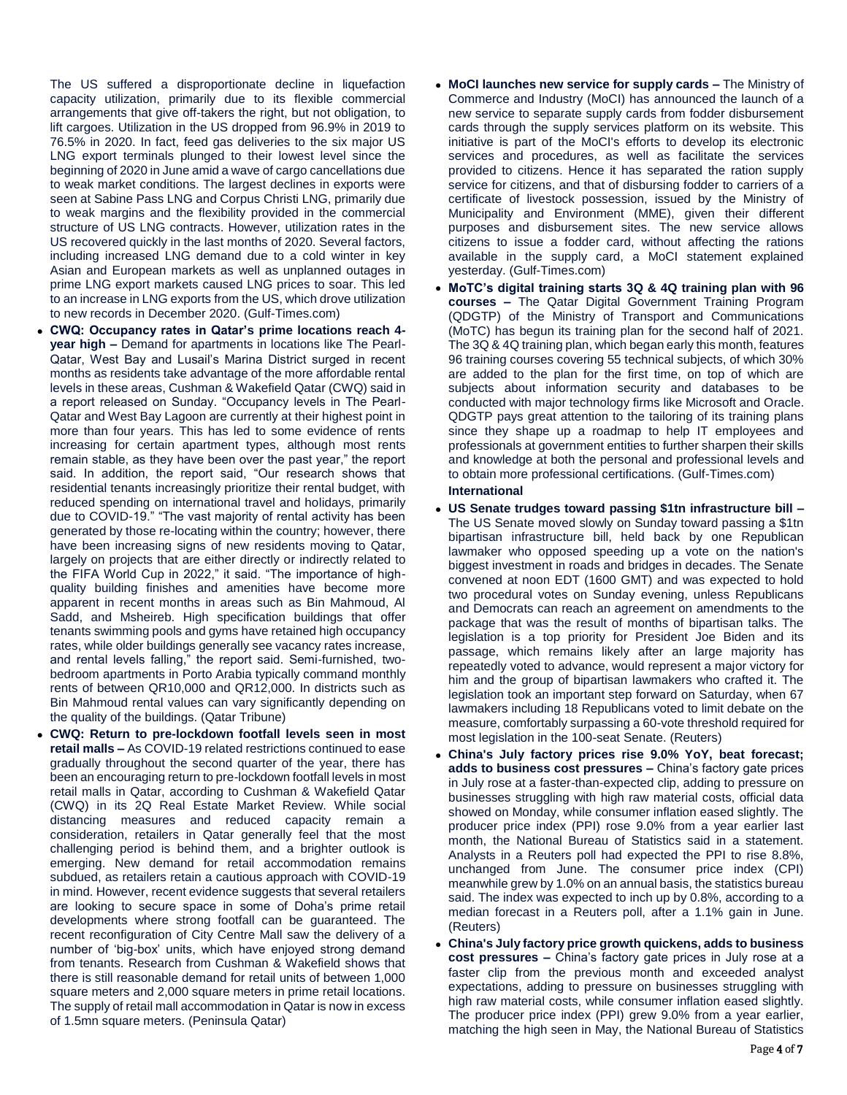The US suffered a disproportionate decline in liquefaction capacity utilization, primarily due to its flexible commercial arrangements that give off-takers the right, but not obligation, to lift cargoes. Utilization in the US dropped from 96.9% in 2019 to 76.5% in 2020. In fact, feed gas deliveries to the six major US LNG export terminals plunged to their lowest level since the beginning of 2020 in June amid a wave of cargo cancellations due to weak market conditions. The largest declines in exports were seen at Sabine Pass LNG and Corpus Christi LNG, primarily due to weak margins and the flexibility provided in the commercial structure of US LNG contracts. However, utilization rates in the US recovered quickly in the last months of 2020. Several factors, including increased LNG demand due to a cold winter in key Asian and European markets as well as unplanned outages in prime LNG export markets caused LNG prices to soar. This led to an increase in LNG exports from the US, which drove utilization to new records in December 2020. (Gulf-Times.com)

- **CWQ: Occupancy rates in Qatar's prime locations reach 4 year high –** Demand for apartments in locations like The Pearl-Qatar, West Bay and Lusail's Marina District surged in recent months as residents take advantage of the more affordable rental levels in these areas, Cushman & Wakefield Qatar (CWQ) said in a report released on Sunday. "Occupancy levels in The Pearl-Qatar and West Bay Lagoon are currently at their highest point in more than four years. This has led to some evidence of rents increasing for certain apartment types, although most rents remain stable, as they have been over the past year," the report said. In addition, the report said, "Our research shows that residential tenants increasingly prioritize their rental budget, with reduced spending on international travel and holidays, primarily due to COVID-19." "The vast majority of rental activity has been generated by those re-locating within the country; however, there have been increasing signs of new residents moving to Qatar, largely on projects that are either directly or indirectly related to the FIFA World Cup in 2022," it said. "The importance of highquality building finishes and amenities have become more apparent in recent months in areas such as Bin Mahmoud, Al Sadd, and Msheireb. High specification buildings that offer tenants swimming pools and gyms have retained high occupancy rates, while older buildings generally see vacancy rates increase, and rental levels falling," the report said. Semi-furnished, twobedroom apartments in Porto Arabia typically command monthly rents of between QR10,000 and QR12,000. In districts such as Bin Mahmoud rental values can vary significantly depending on the quality of the buildings. (Qatar Tribune)
- **CWQ: Return to pre-lockdown footfall levels seen in most retail malls –** As COVID-19 related restrictions continued to ease gradually throughout the second quarter of the year, there has been an encouraging return to pre-lockdown footfall levels in most retail malls in Qatar, according to Cushman & Wakefield Qatar (CWQ) in its 2Q Real Estate Market Review. While social distancing measures and reduced capacity remain a consideration, retailers in Qatar generally feel that the most challenging period is behind them, and a brighter outlook is emerging. New demand for retail accommodation remains subdued, as retailers retain a cautious approach with COVID-19 in mind. However, recent evidence suggests that several retailers are looking to secure space in some of Doha's prime retail developments where strong footfall can be guaranteed. The recent reconfiguration of City Centre Mall saw the delivery of a number of 'big-box' units, which have enjoyed strong demand from tenants. Research from Cushman & Wakefield shows that there is still reasonable demand for retail units of between 1,000 square meters and 2,000 square meters in prime retail locations. The supply of retail mall accommodation in Qatar is now in excess of 1.5mn square meters. (Peninsula Qatar)
- **MoCI launches new service for supply cards –** The Ministry of Commerce and Industry (MoCI) has announced the launch of a new service to separate supply cards from fodder disbursement cards through the supply services platform on its website. This initiative is part of the MoCI's efforts to develop its electronic services and procedures, as well as facilitate the services provided to citizens. Hence it has separated the ration supply service for citizens, and that of disbursing fodder to carriers of a certificate of livestock possession, issued by the Ministry of Municipality and Environment (MME), given their different purposes and disbursement sites. The new service allows citizens to issue a fodder card, without affecting the rations available in the supply card, a MoCI statement explained yesterday. (Gulf-Times.com)
- **MoTC's digital training starts 3Q & 4Q training plan with 96 courses –** The Qatar Digital Government Training Program (QDGTP) of the Ministry of Transport and Communications (MoTC) has begun its training plan for the second half of 2021. The 3Q & 4Q training plan, which began early this month, features 96 training courses covering 55 technical subjects, of which 30% are added to the plan for the first time, on top of which are subjects about information security and databases to be conducted with major technology firms like Microsoft and Oracle. QDGTP pays great attention to the tailoring of its training plans since they shape up a roadmap to help IT employees and professionals at government entities to further sharpen their skills and knowledge at both the personal and professional levels and to obtain more professional certifications. (Gulf-Times.com)

#### **International**

- **US Senate trudges toward passing \$1tn infrastructure bill –** The US Senate moved slowly on Sunday toward passing a \$1tn bipartisan infrastructure bill, held back by one Republican lawmaker who opposed speeding up a vote on the nation's biggest investment in roads and bridges in decades. The Senate convened at noon EDT (1600 GMT) and was expected to hold two procedural votes on Sunday evening, unless Republicans and Democrats can reach an agreement on amendments to the package that was the result of months of bipartisan talks. The legislation is a top priority for President Joe Biden and its passage, which remains likely after an large majority has repeatedly voted to advance, would represent a major victory for him and the group of bipartisan lawmakers who crafted it. The legislation took an important step forward on Saturday, when 67 lawmakers including 18 Republicans voted to limit debate on the measure, comfortably surpassing a 60-vote threshold required for most legislation in the 100-seat Senate. (Reuters)
- **China's July factory prices rise 9.0% YoY, beat forecast; adds to business cost pressures –** China's factory gate prices in July rose at a faster-than-expected clip, adding to pressure on businesses struggling with high raw material costs, official data showed on Monday, while consumer inflation eased slightly. The producer price index (PPI) rose 9.0% from a year earlier last month, the National Bureau of Statistics said in a statement. Analysts in a Reuters poll had expected the PPI to rise 8.8%, unchanged from June. The consumer price index (CPI) meanwhile grew by 1.0% on an annual basis, the statistics bureau said. The index was expected to inch up by 0.8%, according to a median forecast in a Reuters poll, after a 1.1% gain in June. (Reuters)
- **China's July factory price growth quickens, adds to business cost pressures –** China's factory gate prices in July rose at a faster clip from the previous month and exceeded analyst expectations, adding to pressure on businesses struggling with high raw material costs, while consumer inflation eased slightly. The producer price index (PPI) grew 9.0% from a year earlier, matching the high seen in May, the National Bureau of Statistics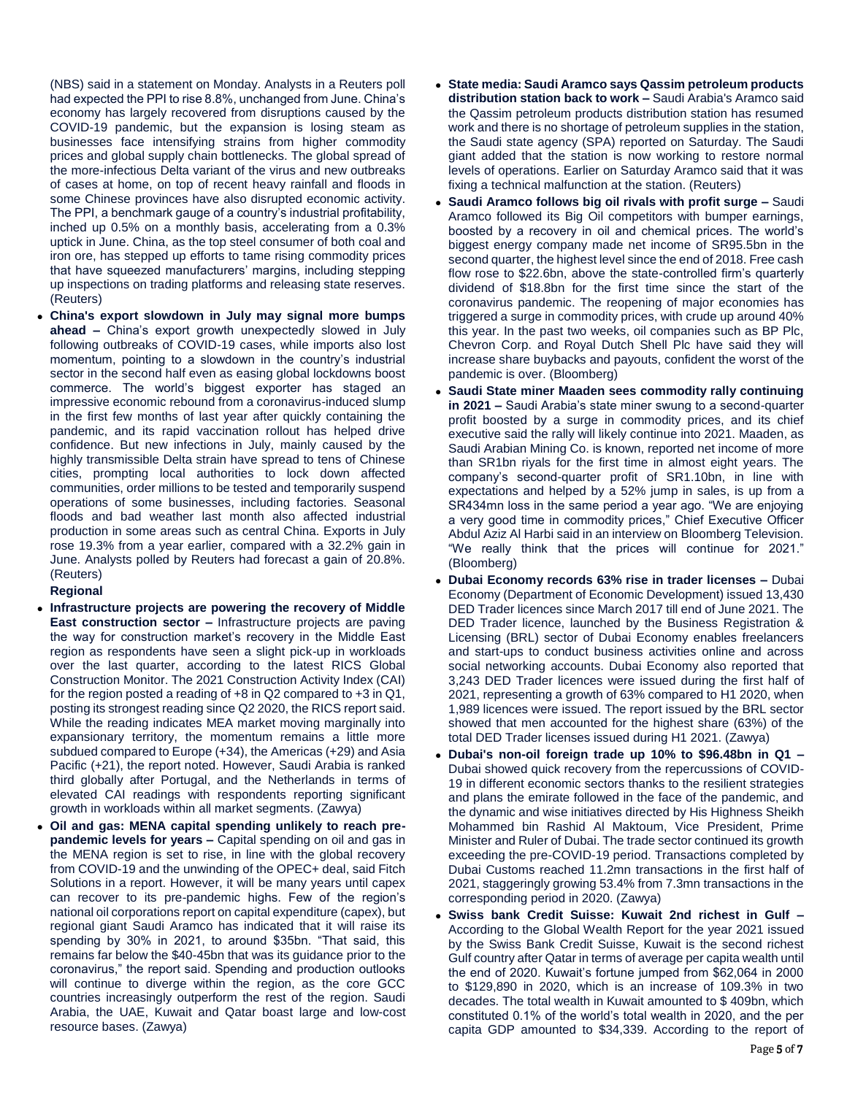(NBS) said in a statement on Monday. Analysts in a Reuters poll had expected the PPI to rise 8.8%, unchanged from June. China's economy has largely recovered from disruptions caused by the COVID-19 pandemic, but the expansion is losing steam as businesses face intensifying strains from higher commodity prices and global supply chain bottlenecks. The global spread of the more-infectious Delta variant of the virus and new outbreaks of cases at home, on top of recent heavy rainfall and floods in some Chinese provinces have also disrupted economic activity. The PPI, a benchmark gauge of a country's industrial profitability, inched up 0.5% on a monthly basis, accelerating from a 0.3% uptick in June. China, as the top steel consumer of both coal and iron ore, has stepped up efforts to tame rising commodity prices that have squeezed manufacturers' margins, including stepping up inspections on trading platforms and releasing state reserves. (Reuters)

 **China's export slowdown in July may signal more bumps ahead –** China's export growth unexpectedly slowed in July following outbreaks of COVID-19 cases, while imports also lost momentum, pointing to a slowdown in the country's industrial sector in the second half even as easing global lockdowns boost commerce. The world's biggest exporter has staged an impressive economic rebound from a coronavirus-induced slump in the first few months of last year after quickly containing the pandemic, and its rapid vaccination rollout has helped drive confidence. But new infections in July, mainly caused by the highly transmissible Delta strain have spread to tens of Chinese cities, prompting local authorities to lock down affected communities, order millions to be tested and temporarily suspend operations of some businesses, including factories. Seasonal floods and bad weather last month also affected industrial production in some areas such as central China. Exports in July rose 19.3% from a year earlier, compared with a 32.2% gain in June. Analysts polled by Reuters had forecast a gain of 20.8%. (Reuters)

### **Regional**

- **Infrastructure projects are powering the recovery of Middle East construction sector –** Infrastructure projects are paving the way for construction market's recovery in the Middle East region as respondents have seen a slight pick-up in workloads over the last quarter, according to the latest RICS Global Construction Monitor. The 2021 Construction Activity Index (CAI) for the region posted a reading of +8 in Q2 compared to +3 in Q1, posting its strongest reading since Q2 2020, the RICS report said. While the reading indicates MEA market moving marginally into expansionary territory, the momentum remains a little more subdued compared to Europe (+34), the Americas (+29) and Asia Pacific (+21), the report noted. However, Saudi Arabia is ranked third globally after Portugal, and the Netherlands in terms of elevated CAI readings with respondents reporting significant growth in workloads within all market segments. (Zawya)
- **Oil and gas: MENA capital spending unlikely to reach prepandemic levels for years –** Capital spending on oil and gas in the MENA region is set to rise, in line with the global recovery from COVID-19 and the unwinding of the OPEC+ deal, said Fitch Solutions in a report. However, it will be many years until capex can recover to its pre-pandemic highs. Few of the region's national oil corporations report on capital expenditure (capex), but regional giant Saudi Aramco has indicated that it will raise its spending by 30% in 2021, to around \$35bn. "That said, this remains far below the \$40-45bn that was its guidance prior to the coronavirus," the report said. Spending and production outlooks will continue to diverge within the region, as the core GCC countries increasingly outperform the rest of the region. Saudi Arabia, the UAE, Kuwait and Qatar boast large and low-cost resource bases. (Zawya)
- **State media: Saudi Aramco says Qassim petroleum products distribution station back to work –** Saudi Arabia's Aramco said the Qassim petroleum products distribution station has resumed work and there is no shortage of petroleum supplies in the station, the Saudi state agency (SPA) reported on Saturday. The Saudi giant added that the station is now working to restore normal levels of operations. Earlier on Saturday Aramco said that it was fixing a technical malfunction at the station. (Reuters)
- **Saudi Aramco follows big oil rivals with profit surge –** Saudi Aramco followed its Big Oil competitors with bumper earnings, boosted by a recovery in oil and chemical prices. The world's biggest energy company made net income of SR95.5bn in the second quarter, the highest level since the end of 2018. Free cash flow rose to \$22.6bn, above the state-controlled firm's quarterly dividend of \$18.8bn for the first time since the start of the coronavirus pandemic. The reopening of major economies has triggered a surge in commodity prices, with crude up around 40% this year. In the past two weeks, oil companies such as BP Plc, Chevron Corp. and Royal Dutch Shell Plc have said they will increase share buybacks and payouts, confident the worst of the pandemic is over. (Bloomberg)
- **Saudi State miner Maaden sees commodity rally continuing in 2021 –** Saudi Arabia's state miner swung to a second-quarter profit boosted by a surge in commodity prices, and its chief executive said the rally will likely continue into 2021. Maaden, as Saudi Arabian Mining Co. is known, reported net income of more than SR1bn riyals for the first time in almost eight years. The company's second-quarter profit of SR1.10bn, in line with expectations and helped by a 52% jump in sales, is up from a SR434mn loss in the same period a year ago. "We are enjoying a very good time in commodity prices," Chief Executive Officer Abdul Aziz Al Harbi said in an interview on Bloomberg Television. "We really think that the prices will continue for 2021." (Bloomberg)
- **Dubai Economy records 63% rise in trader licenses –** Dubai Economy (Department of Economic Development) issued 13,430 DED Trader licences since March 2017 till end of June 2021. The DED Trader licence, launched by the Business Registration & Licensing (BRL) sector of Dubai Economy enables freelancers and start-ups to conduct business activities online and across social networking accounts. Dubai Economy also reported that 3,243 DED Trader licences were issued during the first half of 2021, representing a growth of 63% compared to H1 2020, when 1,989 licences were issued. The report issued by the BRL sector showed that men accounted for the highest share (63%) of the total DED Trader licenses issued during H1 2021. (Zawya)
- **Dubai's non-oil foreign trade up 10% to \$96.48bn in Q1 –** Dubai showed quick recovery from the repercussions of COVID-19 in different economic sectors thanks to the resilient strategies and plans the emirate followed in the face of the pandemic, and the dynamic and wise initiatives directed by His Highness Sheikh Mohammed bin Rashid Al Maktoum, Vice President, Prime Minister and Ruler of Dubai. The trade sector continued its growth exceeding the pre-COVID-19 period. Transactions completed by Dubai Customs reached 11.2mn transactions in the first half of 2021, staggeringly growing 53.4% from 7.3mn transactions in the corresponding period in 2020. (Zawya)
- **Swiss bank Credit Suisse: Kuwait 2nd richest in Gulf –** According to the Global Wealth Report for the year 2021 issued by the Swiss Bank Credit Suisse, Kuwait is the second richest Gulf country after Qatar in terms of average per capita wealth until the end of 2020. Kuwait's fortune jumped from \$62,064 in 2000 to \$129,890 in 2020, which is an increase of 109.3% in two decades. The total wealth in Kuwait amounted to \$ 409bn, which constituted 0.1% of the world's total wealth in 2020, and the per capita GDP amounted to \$34,339. According to the report of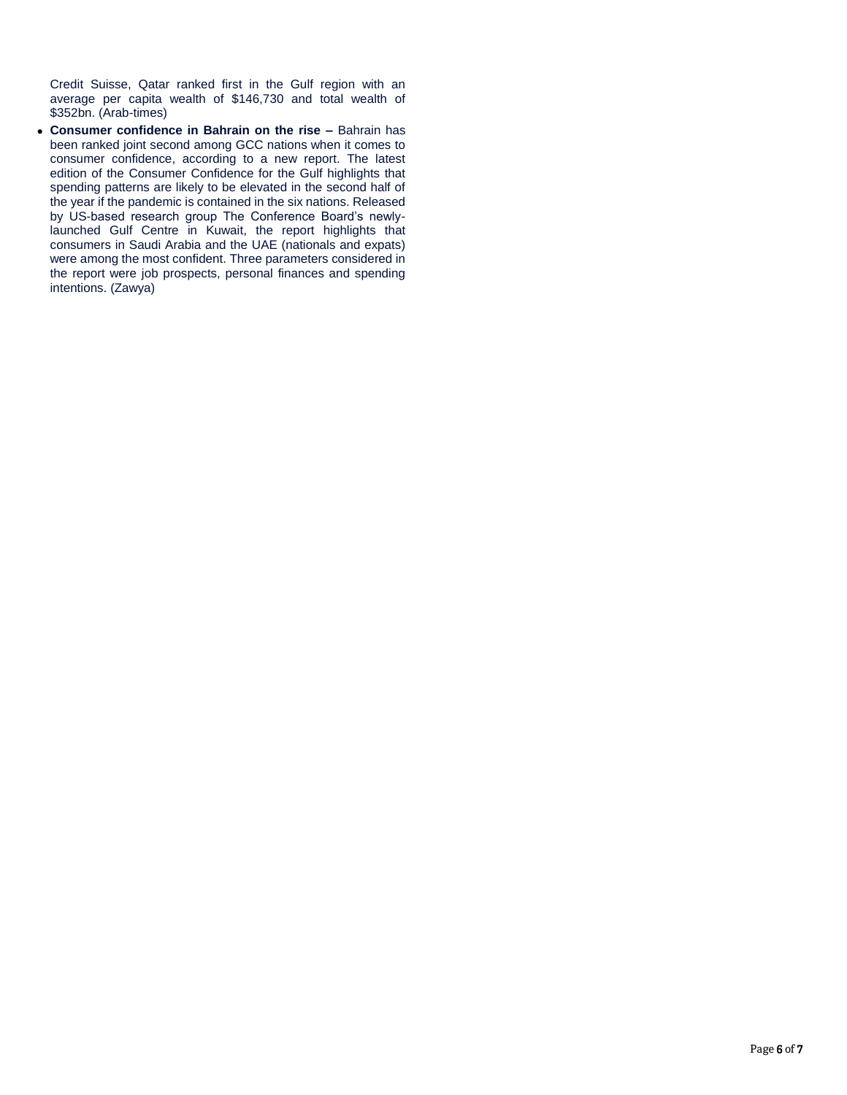Credit Suisse, Qatar ranked first in the Gulf region with an average per capita wealth of \$146,730 and total wealth of \$352bn. (Arab-times)

 **Consumer confidence in Bahrain on the rise –** Bahrain has been ranked joint second among GCC nations when it comes to consumer confidence, according to a new report. The latest edition of the Consumer Confidence for the Gulf highlights that spending patterns are likely to be elevated in the second half of the year if the pandemic is contained in the six nations. Released by US-based research group The Conference Board's newlylaunched Gulf Centre in Kuwait, the report highlights that consumers in Saudi Arabia and the UAE (nationals and expats) were among the most confident. Three parameters considered in the report were job prospects, personal finances and spending intentions. (Zawya)